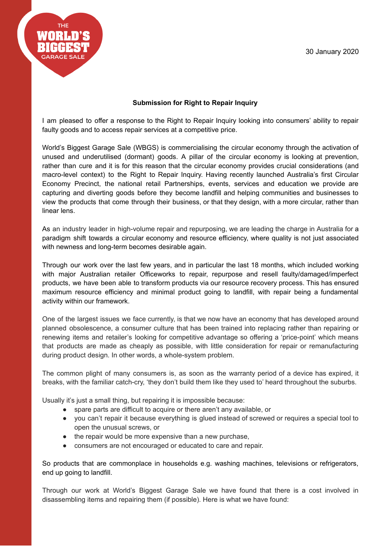

## **Submission for Right to Repair Inquiry**

I am pleased to offer a response to the Right to Repair Inquiry looking into consumers' ability to repair faulty goods and to access repair services at a competitive price.

World's Biggest Garage Sale (WBGS) is commercialising the circular economy through the activation of unused and underutilised (dormant) goods. A pillar of the circular economy is looking at prevention, rather than cure and it is for this reason that the circular economy provides crucial considerations (and macro-level context) to the Right to Repair Inquiry. Having recently launched Australia's first Circular Economy Precinct, the national retail Partnerships, events, services and education we provide are capturing and diverting goods before they become landfill and helping communities and businesses to view the products that come through their business, or that they design, with a more circular, rather than linear lens.

As an industry leader in high-volume repair and repurposing, we are leading the charge in Australia for a paradigm shift towards a circular economy and resource efficiency, where quality is not just associated with newness and long-term becomes desirable again.

Through our work over the last few years, and in particular the last 18 months, which included working with major Australian retailer Officeworks to repair, repurpose and resell faulty/damaged/imperfect products, we have been able to transform products via our resource recovery process. This has ensured maximum resource efficiency and minimal product going to landfill, with repair being a fundamental activity within our framework.

One of the largest issues we face currently, is that we now have an economy that has developed around planned obsolescence, a consumer culture that has been trained into replacing rather than repairing or renewing items and retailer's looking for competitive advantage so offering a 'price-point' which means that products are made as cheaply as possible, with little consideration for repair or remanufacturing during product design. In other words, a whole-system problem.

The common plight of many consumers is, as soon as the warranty period of a device has expired, it breaks, with the familiar catch-cry, 'they don't build them like they used to' heard throughout the suburbs.

Usually it's just a small thing, but repairing it is impossible because:

- spare parts are difficult to acquire or there aren't any available, or
- you can't repair it because everything is glued instead of screwed or requires a special tool to open the unusual screws, or
- the repair would be more expensive than a new purchase,
- consumers are not encouraged or educated to care and repair.

So products that are commonplace in households e.g. washing machines, televisions or refrigerators, end up going to landfill.

Through our work at World's Biggest Garage Sale we have found that there is a cost involved in disassembling items and repairing them (if possible). Here is what we have found: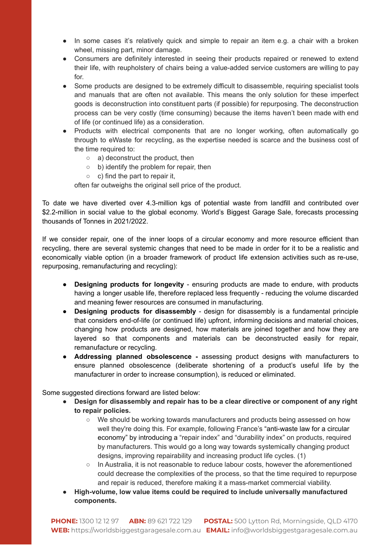- In some cases it's relatively quick and simple to repair an item e.g. a chair with a broken wheel, missing part, minor damage.
- Consumers are definitely interested in seeing their products repaired or renewed to extend their life, with reupholstery of chairs being a value-added service customers are willing to pay for.
- Some products are designed to be extremely difficult to disassemble, requiring specialist tools and manuals that are often not available. This means the only solution for these imperfect goods is deconstruction into constituent parts (if possible) for repurposing. The deconstruction process can be very costly (time consuming) because the items haven't been made with end of life (or continued life) as a consideration.
- Products with electrical components that are no longer working, often automatically go through to eWaste for recycling, as the expertise needed is scarce and the business cost of the time required to:
	- a) deconstruct the product, then
	- b) identify the problem for repair, then
	- $\circ$  c) find the part to repair it,

often far outweighs the original sell price of the product.

To date we have diverted over 4.3-million kgs of potential waste from landfill and contributed over \$2.2-million in social value to the global economy. World's Biggest Garage Sale, forecasts processing thousands of Tonnes in 2021/2022.

If we consider repair, one of the inner loops of a circular economy and more resource efficient than recycling, there are several systemic changes that need to be made in order for it to be a realistic and economically viable option (in a broader framework of product life extension activities such as re-use, repurposing, remanufacturing and recycling):

- **Designing products for longevity** ensuring products are made to endure, with products having a longer usable life, therefore replaced less frequently - reducing the volume discarded and meaning fewer resources are consumed in manufacturing.
- **Designing products for disassembly** design for disassembly is a fundamental principle that considers end-of-life (or continued life) upfront, informing decisions and material choices, changing how products are designed, how materials are joined together and how they are layered so that components and materials can be deconstructed easily for repair, remanufacture or recycling.
- **● Addressing planned obsolescence -** assessing product designs with manufacturers to ensure planned obsolescence (deliberate shortening of a product's useful life by the manufacturer in order to increase consumption), is reduced or eliminated.

Some suggested directions forward are listed below:

- **Design for disassembly and repair has to be a clear directive or component of any right to repair policies.**
	- We should be working towards manufacturers and products being assessed on how well they're doing this. For example, following France's "anti-waste law for a circular economy" by introducing a "repair index" and "durability index" on products, required by manufacturers. This would go a long way towards systemically changing product designs, improving repairability and increasing product life cycles. (1)
	- In Australia, it is not reasonable to reduce labour costs, however the aforementioned could decrease the complexities of the process, so that the time required to repurpose and repair is reduced, therefore making it a mass-market commercial viability.
- **● High-volume, low value items could be required to include universally manufactured components.**